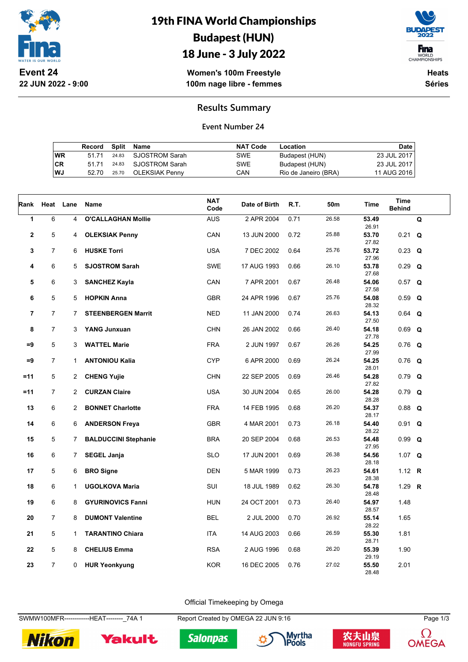

# 19th FINA World Championships Budapest (HUN)



18 June - 3 July 2022

**Women's 100m Freestyle 100m nage libre - femmes**

**Heats Séries**

### **Results Summary**

#### **Event Number 24**

|    | Record |       | Split Name           | <b>NAT Code</b> | Location             | Date        |
|----|--------|-------|----------------------|-----------------|----------------------|-------------|
| WR | 51 71  |       | 24.83 SJOSTROM Sarah | <b>SWE</b>      | Budapest (HUN)       | 23 JUL 2017 |
| СR | 51 71  |       | 24.83 SJOSTROM Sarah | <b>SWE</b>      | Budapest (HUN)       | 23 JUL 2017 |
| WJ | 52.70  | 25.70 | OLEKSIAK Pennv       | CAN             | Rio de Janeiro (BRA) | 11 AUG 2016 |

| Rank                    | Heat           | Lane           | Name                        | <b>NAT</b><br>Code | Date of Birth | R.T. | 50m   | <b>Time</b>    | <b>Time</b><br><b>Behind</b> |   |
|-------------------------|----------------|----------------|-----------------------------|--------------------|---------------|------|-------|----------------|------------------------------|---|
| $\mathbf{1}$            | 6              | $\overline{4}$ | <b>O'CALLAGHAN Mollie</b>   | <b>AUS</b>         | 2 APR 2004    | 0.71 | 26.58 | 53.49<br>26.91 |                              | Q |
| $\overline{\mathbf{2}}$ | 5              | 4              | <b>OLEKSIAK Penny</b>       | CAN                | 13 JUN 2000   | 0.72 | 25.88 | 53.70<br>27.82 | $0.21$ Q                     |   |
| 3                       | $\overline{7}$ | 6              | <b>HUSKE Torri</b>          | <b>USA</b>         | 7 DEC 2002    | 0.64 | 25.76 | 53.72<br>27.96 | $0.23$ Q                     |   |
| 4                       | 6              | 5              | <b>SJOSTROM Sarah</b>       | <b>SWE</b>         | 17 AUG 1993   | 0.66 | 26.10 | 53.78<br>27.68 | $0.29$ Q                     |   |
| 5                       | 6              | 3              | <b>SANCHEZ Kayla</b>        | CAN                | 7 APR 2001    | 0.67 | 26.48 | 54.06<br>27.58 | $0.57$ Q                     |   |
| 6                       | 5              | 5              | <b>HOPKIN Anna</b>          | <b>GBR</b>         | 24 APR 1996   | 0.67 | 25.76 | 54.08<br>28.32 | $0.59$ Q                     |   |
| $\overline{7}$          | $\overline{7}$ | $7^{\circ}$    | <b>STEENBERGEN Marrit</b>   | <b>NED</b>         | 11 JAN 2000   | 0.74 | 26.63 | 54.13<br>27.50 | $0.64$ Q                     |   |
| 8                       | $\overline{7}$ | 3              | <b>YANG Junxuan</b>         | <b>CHN</b>         | 26 JAN 2002   | 0.66 | 26.40 | 54.18<br>27.78 | $0.69$ Q                     |   |
| $=9$                    | 5              | 3              | <b>WATTEL Marie</b>         | <b>FRA</b>         | 2 JUN 1997    | 0.67 | 26.26 | 54.25<br>27.99 | $0.76$ Q                     |   |
| $=9$                    | $\overline{7}$ | $\mathbf{1}$   | <b>ANTONIOU Kalia</b>       | <b>CYP</b>         | 6 APR 2000    | 0.69 | 26.24 | 54.25<br>28.01 | $0.76$ Q                     |   |
| $=11$                   | 5              | $\overline{2}$ | <b>CHENG Yujie</b>          | <b>CHN</b>         | 22 SEP 2005   | 0.69 | 26.46 | 54.28<br>27.82 | $0.79$ Q                     |   |
| $=11$                   | $\overline{7}$ | $\overline{2}$ | <b>CURZAN Claire</b>        | <b>USA</b>         | 30 JUN 2004   | 0.65 | 26.00 | 54.28<br>28.28 | $0.79$ Q                     |   |
| 13                      | 6              | $\overline{2}$ | <b>BONNET Charlotte</b>     | <b>FRA</b>         | 14 FEB 1995   | 0.68 | 26.20 | 54.37<br>28.17 | $0.88$ Q                     |   |
| 14                      | 6              | 6              | <b>ANDERSON Freya</b>       | <b>GBR</b>         | 4 MAR 2001    | 0.73 | 26.18 | 54.40<br>28.22 | $0.91$ Q                     |   |
| 15                      | 5              | $\overline{7}$ | <b>BALDUCCINI Stephanie</b> | BRA                | 20 SEP 2004   | 0.68 | 26.53 | 54.48<br>27.95 | $0.99$ Q                     |   |
| 16                      | 6              | $7^{\circ}$    | <b>SEGEL Janja</b>          | <b>SLO</b>         | 17 JUN 2001   | 0.69 | 26.38 | 54.56<br>28.18 | 1.07 $Q$                     |   |
| 17                      | 5              | 6              | <b>BRO Signe</b>            | DEN                | 5 MAR 1999    | 0.73 | 26.23 | 54.61<br>28.38 | 1.12 <b>R</b>                |   |
| 18                      | 6              | 1              | <b>UGOLKOVA Maria</b>       | SUI                | 18 JUL 1989   | 0.62 | 26.30 | 54.78<br>28.48 | 1.29 $R$                     |   |
| 19                      | 6              | 8              | <b>GYURINOVICS Fanni</b>    | <b>HUN</b>         | 24 OCT 2001   | 0.73 | 26.40 | 54.97<br>28.57 | 1.48                         |   |
| 20                      | $\overline{7}$ | 8              | <b>DUMONT Valentine</b>     | <b>BEL</b>         | 2 JUL 2000    | 0.70 | 26.92 | 55.14<br>28.22 | 1.65                         |   |
| 21                      | 5              | 1              | <b>TARANTINO Chiara</b>     | <b>ITA</b>         | 14 AUG 2003   | 0.66 | 26.59 | 55.30<br>28.71 | 1.81                         |   |
| 22                      | 5              | 8              | <b>CHELIUS Emma</b>         | <b>RSA</b>         | 2 AUG 1996    | 0.68 | 26.20 | 55.39<br>29.19 | 1.90                         |   |
| 23                      | $\overline{7}$ | 0              | <b>HUR Yeonkyung</b>        | <b>KOR</b>         | 16 DEC 2005   | 0.76 | 27.02 | 55.50<br>28.48 | 2.01                         |   |

Official Timekeeping by Omega

SWMW100MFR-------------HEAT--------\_74A 1 Report Created by OMEGA 22 JUN 9:16 Page 1/3



Yakult







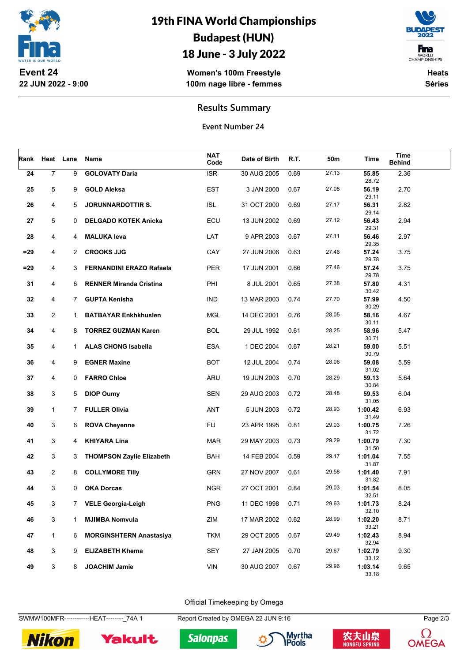

## 19th FINA World Championships Budapest (HUN)

## 18 June - 3 July 2022

**F**ina WORLD<br>CHAMPIONSHIPS

**Women's 100m Freestyle 100m nage libre - femmes**

**Heats Séries**

### **Results Summary**

**Event Number 24**

| Rank   | Heat Lane      |                | Name                             | <b>NAT</b><br>Code | Date of Birth | R.T. | 50m   | Time                      | Time<br><b>Behind</b> |  |
|--------|----------------|----------------|----------------------------------|--------------------|---------------|------|-------|---------------------------|-----------------------|--|
| 24     | $\overline{7}$ | 9              | <b>GOLOVATY Daria</b>            | <b>ISR</b>         | 30 AUG 2005   | 0.69 | 27.13 | 55.85<br>28.72            | 2.36                  |  |
| 25     | 5              | 9              | <b>GOLD Aleksa</b>               | <b>EST</b>         | 3 JAN 2000    | 0.67 | 27.08 | 56.19<br>29.11            | 2.70                  |  |
| 26     | 4              | 5              | <b>JORUNNARDOTTIR S.</b>         | <b>ISL</b>         | 31 OCT 2000   | 0.69 | 27.17 | 56.31<br>29.14            | 2.82                  |  |
| 27     | 5              | 0              | <b>DELGADO KOTEK Anicka</b>      | ECU                | 13 JUN 2002   | 0.69 | 27.12 | 56.43                     | 2.94                  |  |
| 28     | 4              | 4              | <b>MALUKA leva</b>               | LAT                | 9 APR 2003    | 0.67 | 27.11 | 29.31<br>56.46            | 2.97                  |  |
| $= 29$ | 4              | $\overline{2}$ | <b>CROOKS JJG</b>                | CAY                | 27 JUN 2006   | 0.63 | 27.46 | 29.35<br>57.24            | 3.75                  |  |
| $=29$  | 4              | 3              | <b>FERNANDINI ERAZO Rafaela</b>  | <b>PER</b>         | 17 JUN 2001   | 0.66 | 27.46 | 29.78<br>57.24            | 3.75                  |  |
| 31     | 4              | 6              | <b>RENNER Miranda Cristina</b>   | PHI                | 8 JUL 2001    | 0.65 | 27.38 | 29.78<br>57.80            | 4.31                  |  |
| 32     | 4              | 7              | <b>GUPTA Kenisha</b>             | <b>IND</b>         | 13 MAR 2003   | 0.74 | 27.70 | 30.42<br>57.99            | 4.50                  |  |
| 33     | 2              | $\mathbf{1}$   | <b>BATBAYAR Enkhkhuslen</b>      | MGL                | 14 DEC 2001   | 0.76 | 28.05 | 30.29<br>58.16            | 4.67                  |  |
| 34     | 4              | 8              | <b>TORREZ GUZMAN Karen</b>       | <b>BOL</b>         | 29 JUL 1992   | 0.61 | 28.25 | 30.11<br>58.96            | 5.47                  |  |
| 35     | 4              | 1              | <b>ALAS CHONG Isabella</b>       | <b>ESA</b>         | 1 DEC 2004    | 0.67 | 28.21 | 30.71<br>59.00            | 5.51                  |  |
| 36     | 4              | 9              | <b>EGNER Maxine</b>              | <b>BOT</b>         | 12 JUL 2004   | 0.74 | 28.06 | 30.79<br>59.08            | 5.59                  |  |
| 37     | 4              | 0              | <b>FARRO Chloe</b>               | ARU                | 19 JUN 2003   | 0.70 | 28.29 | 31.02<br>59.13            | 5.64                  |  |
| 38     | 3              | 5              | <b>DIOP Oumy</b>                 | <b>SEN</b>         | 29 AUG 2003   | 0.72 | 28.48 | 30.84<br>59.53            | 6.04                  |  |
| 39     | 1              | $7^{\circ}$    | <b>FULLER Olivia</b>             | ANT                | 5 JUN 2003    | 0.72 | 28.93 | 31.05<br>1:00.42          | 6.93                  |  |
|        | 3              |                |                                  | <b>FIJ</b>         |               |      | 29.03 | 31.49                     |                       |  |
| 40     |                | 6              | <b>ROVA Cheyenne</b>             |                    | 23 APR 1995   | 0.81 |       | 1:00.75<br>31.72          | 7.26                  |  |
| 41     | 3              | 4              | <b>KHIYARA Lina</b>              | <b>MAR</b>         | 29 MAY 2003   | 0.73 | 29.29 | 1:00.79<br>31.50          | 7.30                  |  |
| 42     | 3              | 3              | <b>THOMPSON Zaylie Elizabeth</b> | <b>BAH</b>         | 14 FEB 2004   | 0.59 | 29.17 | 1:01.04<br>31.87          | 7.55                  |  |
| 43     | 2              | 8              | <b>COLLYMORE Tilly</b>           | <b>GRN</b>         | 27 NOV 2007   | 0.61 | 29.58 | 1:01.40<br>31.82          | 7.91                  |  |
| 44     | 3              | 0              | <b>OKA Dorcas</b>                | <b>NGR</b>         | 27 OCT 2001   | 0.84 | 29.03 | 1:01.54<br>32.51          | 8.05                  |  |
| 45     | 3              | $\overline{7}$ | <b>VELE Georgia-Leigh</b>        | <b>PNG</b>         | 11 DEC 1998   | 0.71 | 29.63 | 1:01.73<br>32.10          | 8.24                  |  |
| 46     | 3              | $\mathbf{1}$   | <b>MJIMBA Nomvula</b>            | ZIM                | 17 MAR 2002   | 0.62 | 28.99 | 1:02.20<br>33.21          | 8.71                  |  |
| 47     | $\mathbf{1}$   | 6              | <b>MORGINSHTERN Anastasiya</b>   | <b>TKM</b>         | 29 OCT 2005   | 0.67 | 29.49 | 1:02.43<br>32.94          | 8.94                  |  |
| 48     | 3              | 9              | <b>ELIZABETH Khema</b>           | SEY                | 27 JAN 2005   | 0.70 | 29.67 | 1:02.79                   | 9.30                  |  |
| 49     | 3              | 8              | <b>JOACHIM Jamie</b>             | VIN                | 30 AUG 2007   | 0.67 | 29.96 | 33.12<br>1:03.14<br>33 18 | 9.65                  |  |

Official Timekeeping by Omega

SWMW100MFR-------------HEAT--------\_74A 1 Report Created by OMEGA 22 JUN 9:16 Page 2/3



Yakult